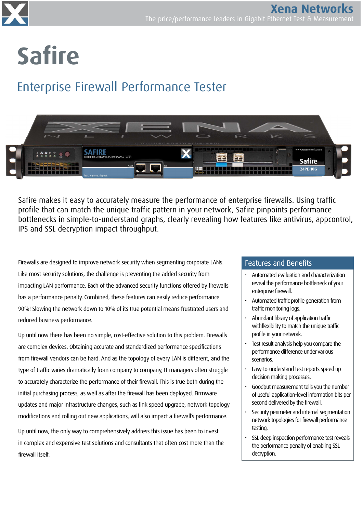

# Safire

# Enterprise Firewall Performance Tester



Safire makes it easy to accurately measure the performance of enterprise firewalls. Using traffic profile that can match the unique traffic pattern in your network, Safire pinpoints performance bottlenecks in simple-to-understand graphs, clearly revealing how features like antivirus, appcontrol, IPS and SSL decryption impact throughput.

Firewalls are designed to improve network security when segmenting corporate LANs. Like most security solutions, the challenge is preventing the added security from impacting LAN performance. Each of the advanced security functions offered by firewalls has a performance penalty. Combined, these features can easily reduce performance 90%! Slowing the network down to 10% of its true potential means frustrated users and reduced business performance.

Up until now there has been no simple, cost-effective solution to this problem. Firewalls are complex devices. Obtaining accurate and standardized performance specifications from firewall vendors can be hard. And as the topology of every LAN is different, and the type of traffic varies dramatically from company to company, IT managers often struggle to accurately characterize the performance of their firewall. This is true both during the initial purchasing process, as well as after the firewall has been deployed. Firmware updates and major infrastructure changes, such as link speed upgrade, network topology modifications and rolling out new applications, will also impact a firewall's performance.

Up until now, the only way to comprehensively address this issue has been to invest in complex and expensive test solutions and consultants that often cost more than the firewall itself.

#### Features and Benefits

- Automated evaluation and characterization reveal the performance bottleneck of your enterprise firewall.
- Automated traffic profile generation from traffic monitoring logs.
- Abundant library of application traffic withflexibility to match the unique traffic profile in your network.
- Test result analysis help you compare the performance difference under various scenarios.
- Easy-to-understand test reports speed up decision making processes.
- Goodput measurement tells you the number of useful application-level information bits per second delivered by the firewall.
- Security perimeter and internal segmentation network topologies for firewall performance testing.
- SSL deep inspection performance test reveals the performance penalty of enabling SSL decryption.